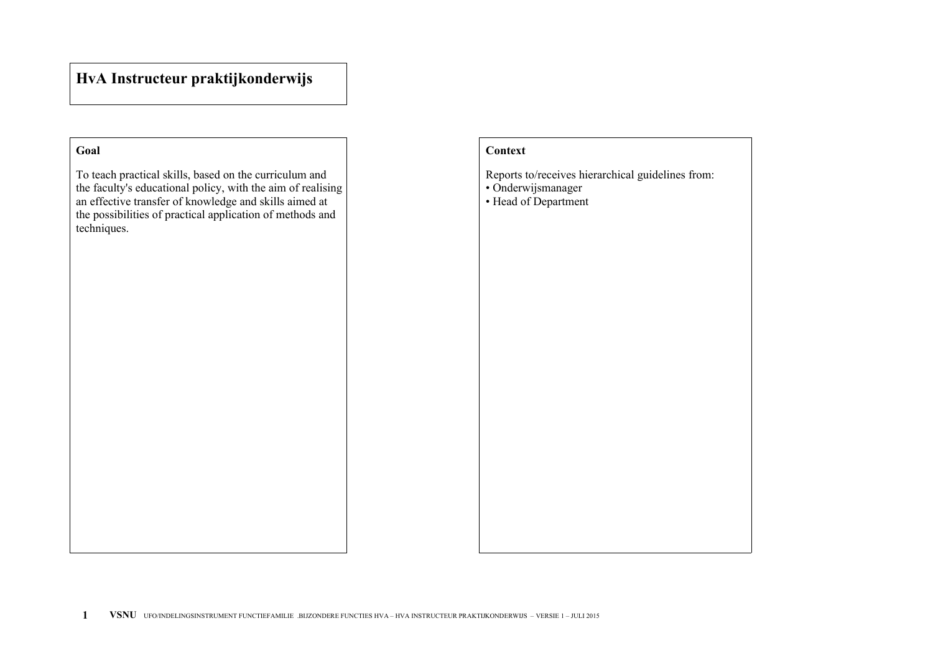# **HvA Instructeur praktijkonderwijs**

### **Goal**

To teach practical skills, based on the curriculum and the faculty's educational policy, with the aim of realising an effective transfer of knowledge and skills aimed at the possibilities of practical application of methods and techniques.

## **Context**

Reports to/receives hierarchical guidelines from:

- Onderwijsmanager
- Head of Department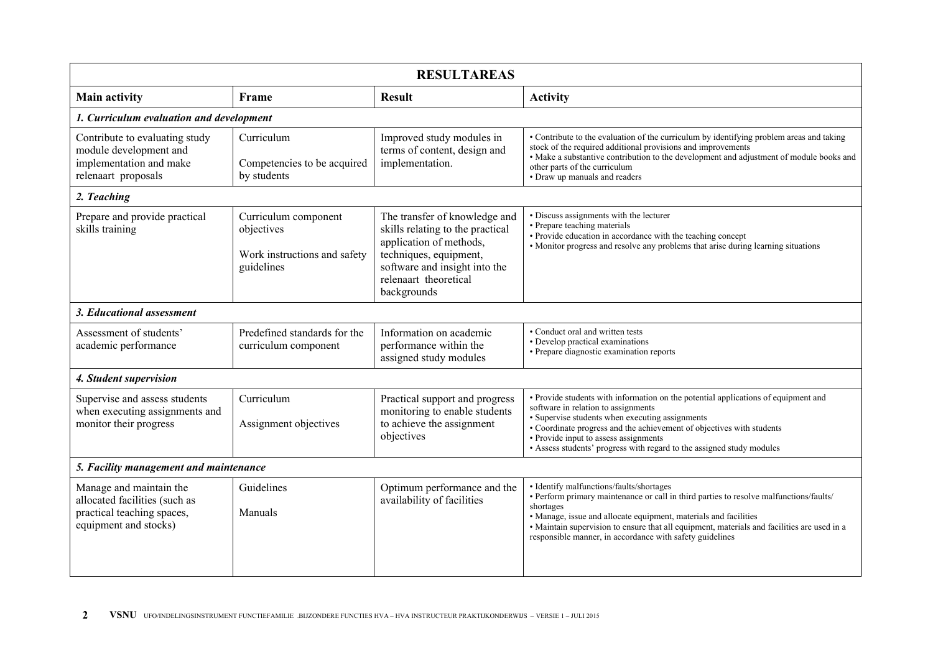| <b>RESULTAREAS</b>                                                                                              |                                                                                  |                                                                                                                                                                                                 |                                                                                                                                                                                                                                                                                                                                                                                |  |  |  |  |
|-----------------------------------------------------------------------------------------------------------------|----------------------------------------------------------------------------------|-------------------------------------------------------------------------------------------------------------------------------------------------------------------------------------------------|--------------------------------------------------------------------------------------------------------------------------------------------------------------------------------------------------------------------------------------------------------------------------------------------------------------------------------------------------------------------------------|--|--|--|--|
| <b>Main activity</b>                                                                                            | Frame                                                                            | <b>Result</b>                                                                                                                                                                                   | <b>Activity</b>                                                                                                                                                                                                                                                                                                                                                                |  |  |  |  |
| 1. Curriculum evaluation and development                                                                        |                                                                                  |                                                                                                                                                                                                 |                                                                                                                                                                                                                                                                                                                                                                                |  |  |  |  |
| Contribute to evaluating study<br>module development and<br>implementation and make<br>relenaart proposals      | Curriculum<br>Competencies to be acquired<br>by students                         | Improved study modules in<br>terms of content, design and<br>implementation.                                                                                                                    | • Contribute to the evaluation of the curriculum by identifying problem areas and taking<br>stock of the required additional provisions and improvements<br>• Make a substantive contribution to the development and adjustment of module books and<br>other parts of the curriculum<br>• Draw up manuals and readers                                                          |  |  |  |  |
| 2. Teaching                                                                                                     |                                                                                  |                                                                                                                                                                                                 |                                                                                                                                                                                                                                                                                                                                                                                |  |  |  |  |
| Prepare and provide practical<br>skills training                                                                | Curriculum component<br>objectives<br>Work instructions and safety<br>guidelines | The transfer of knowledge and<br>skills relating to the practical<br>application of methods,<br>techniques, equipment,<br>software and insight into the<br>relenaart theoretical<br>backgrounds | • Discuss assignments with the lecturer<br>• Prepare teaching materials<br>• Provide education in accordance with the teaching concept<br>• Monitor progress and resolve any problems that arise during learning situations                                                                                                                                                    |  |  |  |  |
| 3. Educational assessment                                                                                       |                                                                                  |                                                                                                                                                                                                 |                                                                                                                                                                                                                                                                                                                                                                                |  |  |  |  |
| Assessment of students'<br>academic performance                                                                 | Predefined standards for the<br>curriculum component                             | Information on academic<br>performance within the<br>assigned study modules                                                                                                                     | • Conduct oral and written tests<br>• Develop practical examinations<br>· Prepare diagnostic examination reports                                                                                                                                                                                                                                                               |  |  |  |  |
| 4. Student supervision                                                                                          |                                                                                  |                                                                                                                                                                                                 |                                                                                                                                                                                                                                                                                                                                                                                |  |  |  |  |
| Supervise and assess students<br>when executing assignments and<br>monitor their progress                       | Curriculum<br>Assignment objectives                                              | Practical support and progress<br>monitoring to enable students<br>to achieve the assignment<br>objectives                                                                                      | • Provide students with information on the potential applications of equipment and<br>software in relation to assignments<br>• Supervise students when executing assignments<br>• Coordinate progress and the achievement of objectives with students<br>• Provide input to assess assignments<br>• Assess students' progress with regard to the assigned study modules        |  |  |  |  |
| 5. Facility management and maintenance                                                                          |                                                                                  |                                                                                                                                                                                                 |                                                                                                                                                                                                                                                                                                                                                                                |  |  |  |  |
| Manage and maintain the<br>allocated facilities (such as<br>practical teaching spaces,<br>equipment and stocks) | Guidelines<br>Manuals                                                            | Optimum performance and the<br>availability of facilities                                                                                                                                       | • Identify malfunctions/faults/shortages<br>• Perform primary maintenance or call in third parties to resolve malfunctions/faults/<br>shortages<br>• Manage, issue and allocate equipment, materials and facilities<br>• Maintain supervision to ensure that all equipment, materials and facilities are used in a<br>responsible manner, in accordance with safety guidelines |  |  |  |  |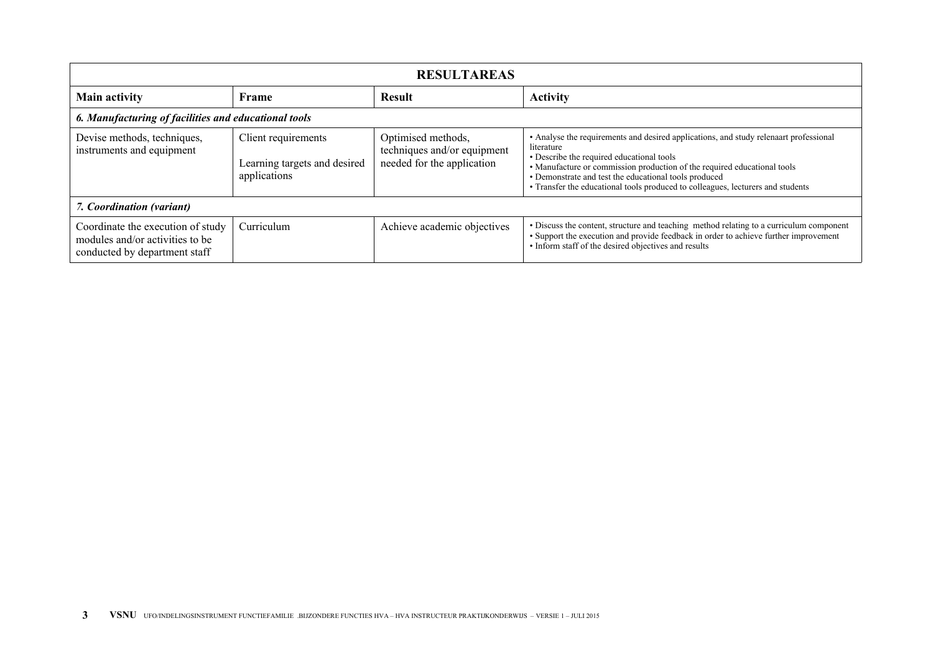| <b>RESULTAREAS</b>                                                                                    |                                                                     |                                                                                 |                                                                                                                                                                                                                                                                                                                                                                          |  |  |  |
|-------------------------------------------------------------------------------------------------------|---------------------------------------------------------------------|---------------------------------------------------------------------------------|--------------------------------------------------------------------------------------------------------------------------------------------------------------------------------------------------------------------------------------------------------------------------------------------------------------------------------------------------------------------------|--|--|--|
| <b>Main activity</b>                                                                                  | Frame                                                               | <b>Result</b>                                                                   | <b>Activity</b>                                                                                                                                                                                                                                                                                                                                                          |  |  |  |
| 6. Manufacturing of facilities and educational tools                                                  |                                                                     |                                                                                 |                                                                                                                                                                                                                                                                                                                                                                          |  |  |  |
| Devise methods, techniques,<br>instruments and equipment                                              | Client requirements<br>Learning targets and desired<br>applications | Optimised methods,<br>techniques and/or equipment<br>needed for the application | • Analyse the requirements and desired applications, and study relenaart professional<br>literature<br>• Describe the required educational tools<br>• Manufacture or commission production of the required educational tools<br>• Demonstrate and test the educational tools produced<br>• Transfer the educational tools produced to colleagues, lecturers and students |  |  |  |
| 7. Coordination (variant)                                                                             |                                                                     |                                                                                 |                                                                                                                                                                                                                                                                                                                                                                          |  |  |  |
| Coordinate the execution of study<br>modules and/or activities to be<br>conducted by department staff | Curriculum                                                          | Achieve academic objectives                                                     | • Discuss the content, structure and teaching method relating to a curriculum component<br>• Support the execution and provide feedback in order to achieve further improvement<br>• Inform staff of the desired objectives and results                                                                                                                                  |  |  |  |